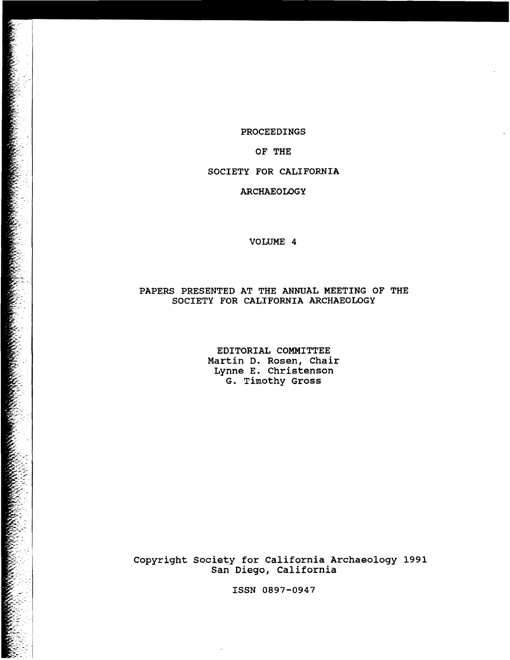PROCEEDINGS

## OF THE

SOCIETY FOR CALIFORNIA

### ARCHAEOLOGY

#### VOLUME 4

## PAPERS PRESENTED AT THE ANNUAL MEETING OF THE SOCIETY FOR CALIFORNIA ARCHAEOLOGY

EDITORIAL COMMITTEE Martin D. Rosen, Chair Lynne E. Christenson G. Timothy Gross

Copyright society for California Archaeology 1991 San Diego, California

ISSN 0897-0947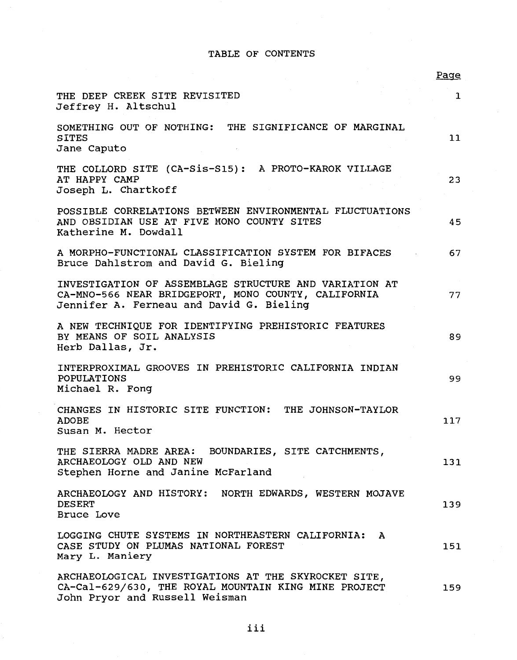# TABLE OF CONTENTS

|                                                                                                                                                           | Page         |
|-----------------------------------------------------------------------------------------------------------------------------------------------------------|--------------|
| THE DEEP CREEK SITE REVISITED<br>Jeffrey H. Altschul                                                                                                      | $\mathbf{1}$ |
| SOMETHING OUT OF NOTHING: THE SIGNIFICANCE OF MARGINAL<br><b>SITES</b><br>Jane Caputo                                                                     | 11           |
| THE COLLORD SITE (CA-Sis-S15): A PROTO-KAROK VILLAGE<br>AT HAPPY CAMP<br>Joseph L. Chartkoff                                                              | 23           |
| POSSIBLE CORRELATIONS BETWEEN ENVIRONMENTAL FLUCTUATIONS<br>AND OBSIDIAN USE AT FIVE MONO COUNTY SITES<br>Katherine M. Dowdall                            | 45           |
| A MORPHO-FUNCTIONAL CLASSIFICATION SYSTEM FOR BIFACES<br>Bruce Dahlstrom and David G. Bieling                                                             | 67           |
| INVESTIGATION OF ASSEMBLAGE STRUCTURE AND VARIATION AT<br>CA-MNO-566 NEAR BRIDGEPORT, MONO COUNTY, CALIFORNIA<br>Jennifer A. Ferneau and David G. Bieling | 77           |
| A NEW TECHNIQUE FOR IDENTIFYING PREHISTORIC FEATURES<br>BY MEANS OF SOIL ANALYSIS<br>Herb Dallas, Jr.                                                     | 89           |
| INTERPROXIMAL GROOVES IN PREHISTORIC CALIFORNIA INDIAN<br>POPULATIONS<br>Michael R. Fong                                                                  | 99           |
| CHANGES IN HISTORIC SITE FUNCTION: THE JOHNSON-TAYLOR<br><b>ADOBE</b><br>Susan M. Hector                                                                  | 117          |
| THE SIERRA MADRE AREA: BOUNDARIES, SITE CATCHMENTS,<br>ARCHAEOLOGY OLD AND NEW<br>Stephen Horne and Janine McFarland                                      | 131          |
| ARCHAEOLOGY AND HISTORY: NORTH EDWARDS, WESTERN MOJAVE<br><b>DESERT</b><br><b>Bruce Love</b>                                                              | 139          |
| LOGGING CHUTE SYSTEMS IN NORTHEASTERN CALIFORNIA:<br>A<br>CASE STUDY ON PLUMAS NATIONAL FOREST<br>Mary L. Maniery                                         | 151          |
| ARCHAEOLOGICAL INVESTIGATIONS AT THE SKYROCKET SITE,<br>CA-Cal-629/630, THE ROYAL MOUNTAIN KING MINE PROJECT<br>John Pryor and Russell Weisman            | 159          |